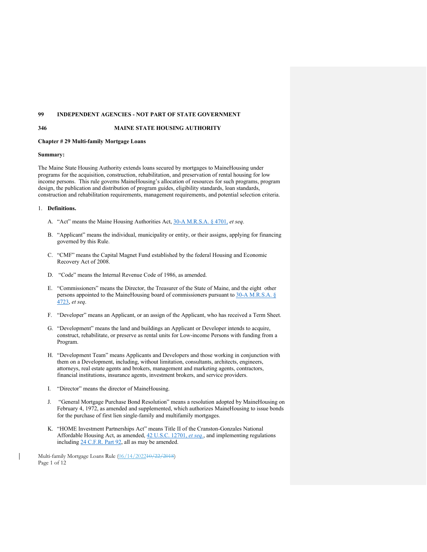# **99 INDEPENDENT AGENCIES - NOT PART OF STATE GOVERNMENT**

#### **346 MAINE STATE HOUSING AUTHORITY**

## **Chapter # 29 Multi-family Mortgage Loans**

### **Summary:**

The Maine State Housing Authority extends loans secured by mortgages to MaineHousing under programs for the acquisition, construction, rehabilitation, and preservation of rental housing for low income persons. This rule governs MaineHousing's allocation of resources for such programs, program design, the publication and distribution of program guides, eligibility standards, loan standards, construction and rehabilitation requirements, management requirements, and potential selection criteria.

### 1. **Definitions.**

- A. "Act" means the Maine Housing Authorities Act, [30-A M.R.S.A. § 4701,](http://legislature.maine.gov/statutes/30-A/title30-Asec4701.html) *et seq*.
- B. "Applicant" means the individual, municipality or entity, or their assigns, applying for financing governed by this Rule.
- C. "CMF" means the Capital Magnet Fund established by the federal Housing and Economic Recovery Act of 2008.
- D. "Code" means the Internal Revenue Code of 1986, as amended.
- E. "Commissioners" means the Director, the Treasurer of the State of Maine, and the eight other persons appointed to the MaineHousing board of commissioners pursuant to 30-A M.R.S.A. § [4723,](http://legislature.maine.gov/statutes/30-A/title30-Asec4723.html) *et seq*.
- F. "Developer" means an Applicant, or an assign of the Applicant, who has received a Term Sheet.
- G. "Development" means the land and buildings an Applicant or Developer intends to acquire, construct, rehabilitate, or preserve as rental units for Low-income Persons with funding from a Program.
- H. "Development Team" means Applicants and Developers and those working in conjunction with them on a Development, including, without limitation, consultants, architects, engineers, attorneys, real estate agents and brokers, management and marketing agents, contractors, financial institutions, insurance agents, investment brokers, and service providers.
- I. "Director" means the director of MaineHousing.
- J. "General Mortgage Purchase Bond Resolution" means a resolution adopted by MaineHousing on February 4, 1972, as amended and supplemented, which authorizes MaineHousing to issue bonds for the purchase of first lien single-family and multifamily mortgages.
- K. "HOME Investment Partnerships Act" means Title II of the Cranston-Gonzales National Affordable Housing Act, as amended, [42 U.S.C. 12701,](https://www.govinfo.gov/app/details/USCODE-2010-title42/USCODE-2010-title42-chap130-subchapI-sec12701/context) *et seq.*, and implementing regulations including [24 C.F.R. Part 92,](https://www.govinfo.gov/content/pkg/CFR-2017-title24-vol1/xml/CFR-2017-title24-vol1-part92.xml) all as may be amended.

Multi-family Mortgage Loans Rule (06/14/202210/22/2018) Page 1 of 12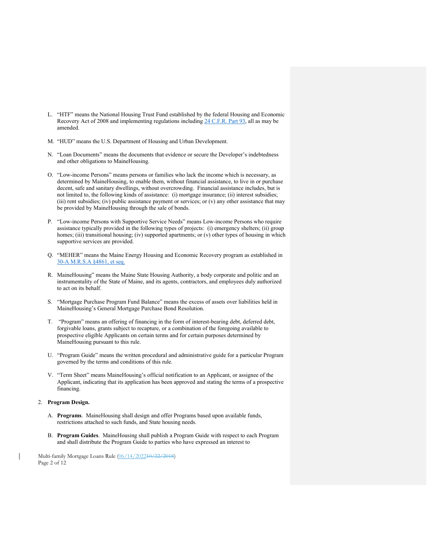- L. "HTF" means the National Housing Trust Fund established by the federal Housing and Economic Recovery Act of 2008 and implementing regulations including [24 C.F.R. Part 93,](https://www.govinfo.gov/app/details/CFR-2017-title24-vol1/CFR-2017-title24-vol1-part93/context) all as may be amended.
- M. "HUD" means the U.S. Department of Housing and Urban Development.
- N. "Loan Documents" means the documents that evidence or secure the Developer's indebtedness and other obligations to MaineHousing.
- O. "Low-income Persons" means persons or families who lack the income which is necessary, as determined by MaineHousing, to enable them, without financial assistance, to live in or purchase decent, safe and sanitary dwellings, without overcrowding. Financial assistance includes, but is not limited to, the following kinds of assistance: (i) mortgage insurance; (ii) interest subsidies; (iii) rent subsidies; (iv) public assistance payment or services; or (v) any other assistance that may be provided by MaineHousing through the sale of bonds.
- P. "Low-income Persons with Supportive Service Needs" means Low-income Persons who require assistance typically provided in the following types of projects: (i) emergency shelters; (ii) group homes; (iii) transitional housing; (iv) supported apartments; or (v) other types of housing in which supportive services are provided.
- Q. "MEHER" means the Maine Energy Housing and Economic Recovery program as established in [30-A M.R.S.A §4861, et seq.](http://legislature.maine.gov/statutes/30-A/title30-Asec4861.html)
- R. MaineHousing" means the Maine State Housing Authority, a body corporate and politic and an instrumentality of the State of Maine, and its agents, contractors, and employees duly authorized to act on its behalf.
- S. "Mortgage Purchase Program Fund Balance" means the excess of assets over liabilities held in MaineHousing's General Mortgage Purchase Bond Resolution.
- T. "Program" means an offering of financing in the form of interest-bearing debt, deferred debt, forgivable loans, grants subject to recapture, or a combination of the foregoing available to prospective eligible Applicants on certain terms and for certain purposes determined by MaineHousing pursuant to this rule.
- U. "Program Guide" means the written procedural and administrative guide for a particular Program governed by the terms and conditions of this rule.
- V. "Term Sheet" means MaineHousing's official notification to an Applicant, or assignee of the Applicant, indicating that its application has been approved and stating the terms of a prospective financing.

# 2. **Program Design.**

- A. **Programs**. MaineHousing shall design and offer Programs based upon available funds, restrictions attached to such funds, and State housing needs.
- B. **Program Guides**. MaineHousing shall publish a Program Guide with respect to each Program and shall distribute the Program Guide to parties who have expressed an interest to

Multi-family Mortgage Loans Rule (06/14/202210/22/2018) Page 2 of 12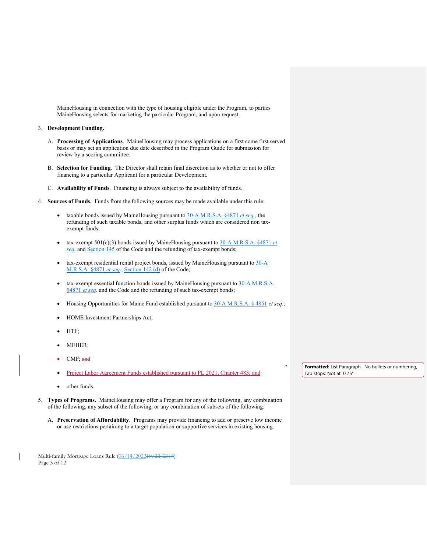MaineHousing in connection with the type of housing eligible under the Program, to parties MaineHousing selects for marketing the particular Program, and upon request.

## 3. **Development Funding.**

- A. **Processing of Applications**. MaineHousing may process applications on a first come first served basis or may set an application due date described in the Program Guide for submission for review by a scoring committee.
- B. **Selection for Funding**. The Director shall retain final discretion as to whether or not to offer financing to a particular Applicant for a particular Development.
- C. **Availability of Funds**. Financing is always subject to the availability of funds.
- 4. **Sources of Funds.** Funds from the following sources may be made available under this rule:
	- taxable bonds issued by MaineHousing pursuant to [30-A M.R.S.A. §4871](http://legislature.maine.gov/statutes/30-A/title30-Asec4871.html) *et seq.,* the refunding of such taxable bonds, and other surplus funds which are considered non taxexempt funds;
	- tax-exempt 501(c)(3) bonds issued by MaineHousing pursuant to [30-A M.R.S.A. §4871](http://legislature.maine.gov/statutes/30-A/title30-Asec4871.html) *et [seq.](http://legislature.maine.gov/statutes/30-A/title30-Asec4871.html)* and [Section 145](https://www.law.cornell.edu/uscode/text/26/145) of the Code and the refunding of tax-exempt bonds;
	- tax-exempt residential rental project bonds, issued by MaineHousing pursuant to  $30-A$ [M.R.S.A. §4871](http://legislature.maine.gov/statutes/30-A/title30-Asec4871.html) *et seq*., [Section 142 \(d\)](https://www.law.cornell.edu/uscode/text/26/142) of the Code;
	- tax-exempt essential function bonds issued by MaineHousing pursuant to 30-A M.R.S.A. [§4871](http://legislature.maine.gov/statutes/30-A/title30-Asec4871.html) *et seq*. and the Code and the refunding of such tax-exempt bonds;
	- Housing Opportunities for Maine Fund established pursuant to [30-A M.R.S.A. § 4851](http://legislature.maine.gov/statutes/30-A/title30-Asec4851.html) *et seq*.;
	- HOME Investment Partnerships Act;
	- HTF;
	- MEHER;
	- CMF; and
	- Project Labor Agreement Funds established pursuant to PL 2021, Chapter 483; and
	- other funds.
- 5. **Types of Programs.** MaineHousing may offer a Program for any of the following, any combination of the following, any subset of the following, or any combination of subsets of the following:
	- A. **Preservation of Affordability**. Programs may provide financing to add or preserve low income or use restrictions pertaining to a target population or supportive services in existing housing.

Multi-family Mortgage Loans Rule (06/14/202210/22/2018) Page 3 of 12

**Formatted:** List Paragraph, No bullets or numbering, Tab stops: Not at 0.75"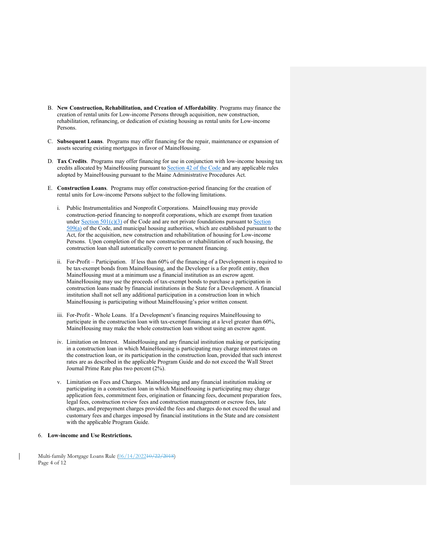- B. **New Construction, Rehabilitation, and Creation of Affordability**. Programs may finance the creation of rental units for Low-income Persons through acquisition, new construction, rehabilitation, refinancing, or dedication of existing housing as rental units for Low-income Persons.
- C. **Subsequent Loans**. Programs may offer financing for the repair, maintenance or expansion of assets securing existing mortgages in favor of MaineHousing.
- D. **Tax Credits**. Programs may offer financing for use in conjunction with low-income housing tax credits allocated by MaineHousing pursuant to [Section 42 of the Code a](https://www.law.cornell.edu/uscode/text/26/42)nd any applicable rules adopted by MaineHousing pursuant to the Maine Administrative Procedures Act.
- E. **Construction Loans**. Programs may offer construction-period financing for the creation of rental units for Low-income Persons subject to the following limitations.
	- i. Public Instrumentalities and Nonprofit Corporations. MaineHousing may provide construction-period financing to nonprofit corporations, which are exempt from taxation under [Section 501\(c\)\(3\)](https://www.law.cornell.edu/uscode/text/26/501) of the Code and are not private foundations pursuant to Section [509\(a\)](https://www.law.cornell.edu/uscode/text/26/509) of the Code, and municipal housing authorities, which are established pursuant to the Act, for the acquisition, new construction and rehabilitation of housing for Low-income Persons. Upon completion of the new construction or rehabilitation of such housing, the construction loan shall automatically convert to permanent financing.
	- ii. For-Profit Participation. If less than 60% of the financing of a Development is required to be tax-exempt bonds from MaineHousing, and the Developer is a for profit entity, then MaineHousing must at a minimum use a financial institution as an escrow agent. MaineHousing may use the proceeds of tax-exempt bonds to purchase a participation in construction loans made by financial institutions in the State for a Development. A financial institution shall not sell any additional participation in a construction loan in which MaineHousing is participating without MaineHousing's prior written consent.
	- iii. For-Profit Whole Loans. If a Development's financing requires MaineHousing to participate in the construction loan with tax-exempt financing at a level greater than 60%, MaineHousing may make the whole construction loan without using an escrow agent.
	- iv. Limitation on Interest. MaineHousing and any financial institution making or participating in a construction loan in which MaineHousing is participating may charge interest rates on the construction loan, or its participation in the construction loan, provided that such interest rates are as described in the applicable Program Guide and do not exceed the Wall Street Journal Prime Rate plus two percent (2%).
	- v. Limitation on Fees and Charges. MaineHousing and any financial institution making or participating in a construction loan in which MaineHousing is participating may charge application fees, commitment fees, origination or financing fees, document preparation fees, legal fees, construction review fees and construction management or escrow fees, late charges, and prepayment charges provided the fees and charges do not exceed the usual and customary fees and charges imposed by financial institutions in the State and are consistent with the applicable Program Guide.

# 6. **Low-income and Use Restrictions.**

Multi-family Mortgage Loans Rule (06/14/202210/22/2018) Page 4 of 12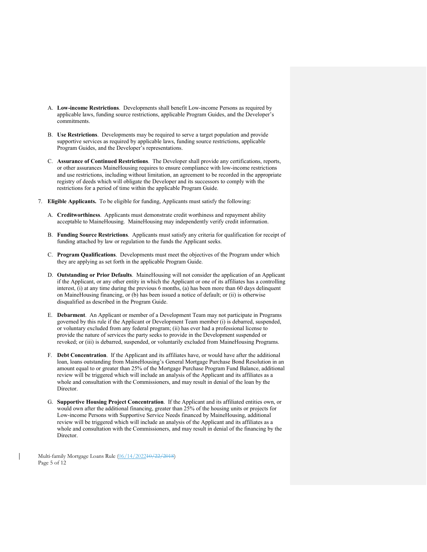- A. **Low-income Restrictions**. Developments shall benefit Low-income Persons as required by applicable laws, funding source restrictions, applicable Program Guides, and the Developer's commitments.
- B. **Use Restrictions**. Developments may be required to serve a target population and provide supportive services as required by applicable laws, funding source restrictions, applicable Program Guides, and the Developer's representations.
- C. **Assurance of Continued Restrictions**. The Developer shall provide any certifications, reports, or other assurances MaineHousing requires to ensure compliance with low-income restrictions and use restrictions, including without limitation, an agreement to be recorded in the appropriate registry of deeds which will obligate the Developer and its successors to comply with the restrictions for a period of time within the applicable Program Guide.
- 7. **Eligible Applicants.** To be eligible for funding, Applicants must satisfy the following:
	- A. **Creditworthiness**. Applicants must demonstrate credit worthiness and repayment ability acceptable to MaineHousing. MaineHousing may independently verify credit information.
	- B. **Funding Source Restrictions**. Applicants must satisfy any criteria for qualification for receipt of funding attached by law or regulation to the funds the Applicant seeks.
	- C. **Program Qualifications**. Developments must meet the objectives of the Program under which they are applying as set forth in the applicable Program Guide.
	- D. **Outstanding or Prior Defaults**. MaineHousing will not consider the application of an Applicant if the Applicant, or any other entity in which the Applicant or one of its affiliates has a controlling interest, (i) at any time during the previous 6 months, (a) has been more than 60 days delinquent on MaineHousing financing, or (b) has been issued a notice of default; or (ii) is otherwise disqualified as described in the Program Guide.
	- E. **Debarment**. An Applicant or member of a Development Team may not participate in Programs governed by this rule if the Applicant or Development Team member (i) is debarred, suspended, or voluntary excluded from any federal program; (ii) has ever had a professional license to provide the nature of services the party seeks to provide in the Development suspended or revoked; or (iii) is debarred, suspended, or voluntarily excluded from MaineHousing Programs.
	- F. **Debt Concentration**. If the Applicant and its affiliates have, or would have after the additional loan, loans outstanding from MaineHousing's General Mortgage Purchase Bond Resolution in an amount equal to or greater than 25% of the Mortgage Purchase Program Fund Balance, additional review will be triggered which will include an analysis of the Applicant and its affiliates as a whole and consultation with the Commissioners, and may result in denial of the loan by the Director.
	- G. **Supportive Housing Project Concentration**. If the Applicant and its affiliated entities own, or would own after the additional financing, greater than 25% of the housing units or projects for Low-income Persons with Supportive Service Needs financed by MaineHousing, additional review will be triggered which will include an analysis of the Applicant and its affiliates as a whole and consultation with the Commissioners, and may result in denial of the financing by the Director.

Multi-family Mortgage Loans Rule (06/14/202210/22/2018) Page 5 of 12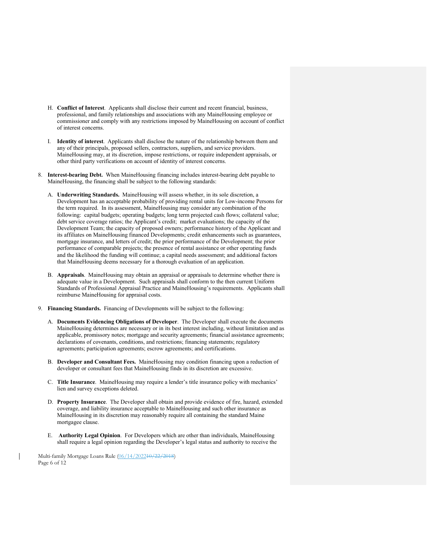- H. **Conflict of Interest**. Applicants shall disclose their current and recent financial, business, professional, and family relationships and associations with any MaineHousing employee or commissioner and comply with any restrictions imposed by MaineHousing on account of conflict of interest concerns.
- I. **Identity of interest**. Applicants shall disclose the nature of the relationship between them and any of their principals, proposed sellers, contractors, suppliers, and service providers. MaineHousing may, at its discretion, impose restrictions, or require independent appraisals, or other third party verifications on account of identity of interest concerns.
- 8. **Interest-bearing Debt.** When MaineHousing financing includes interest-bearing debt payable to MaineHousing, the financing shall be subject to the following standards:
	- A. **Underwriting Standards.** MaineHousing will assess whether, in its sole discretion, a Development has an acceptable probability of providing rental units for Low-income Persons for the term required. In its assessment, MaineHousing may consider any combination of the following: capital budgets; operating budgets; long term projected cash flows; collateral value; debt service coverage ratios; the Applicant's credit; market evaluations; the capacity of the Development Team; the capacity of proposed owners; performance history of the Applicant and its affiliates on MaineHousing financed Developments; credit enhancements such as guarantees, mortgage insurance, and letters of credit; the prior performance of the Development; the prior performance of comparable projects; the presence of rental assistance or other operating funds and the likelihood the funding will continue; a capital needs assessment; and additional factors that MaineHousing deems necessary for a thorough evaluation of an application.
	- B. **Appraisals**. MaineHousing may obtain an appraisal or appraisals to determine whether there is adequate value in a Development. Such appraisals shall conform to the then current Uniform Standards of Professional Appraisal Practice and MaineHousing's requirements. Applicants shall reimburse MaineHousing for appraisal costs.
- 9. **Financing Standards.** Financing of Developments will be subject to the following:
	- A. **Documents Evidencing Obligations of Developer**. The Developer shall execute the documents MaineHousing determines are necessary or in its best interest including, without limitation and as applicable, promissory notes; mortgage and security agreements; financial assistance agreements; declarations of covenants, conditions, and restrictions; financing statements; regulatory agreements; participation agreements; escrow agreements; and certifications.
	- B. **Developer and Consultant Fees.** MaineHousing may condition financing upon a reduction of developer or consultant fees that MaineHousing finds in its discretion are excessive.
	- C. **Title Insurance**. MaineHousing may require a lender's title insurance policy with mechanics' lien and survey exceptions deleted.
	- D. **Property Insurance**. The Developer shall obtain and provide evidence of fire, hazard, extended coverage, and liability insurance acceptable to MaineHousing and such other insurance as MaineHousing in its discretion may reasonably require all containing the standard Maine mortgagee clause.
	- E. **Authority Legal Opinion**. For Developers which are other than individuals, MaineHousing shall require a legal opinion regarding the Developer's legal status and authority to receive the

Multi-family Mortgage Loans Rule (06/14/202210/22/2018) Page 6 of 12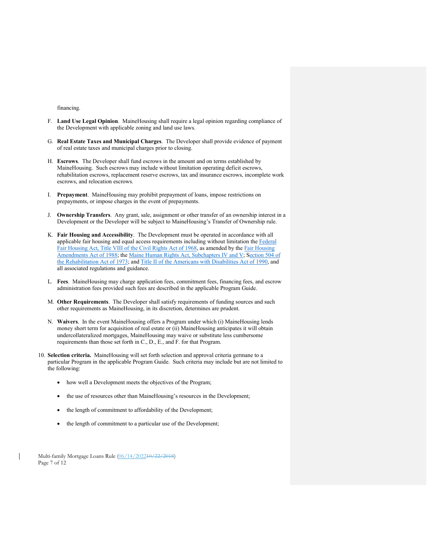financing.

- F. **Land Use Legal Opinion**. MaineHousing shall require a legal opinion regarding compliance of the Development with applicable zoning and land use laws.
- G. **Real Estate Taxes and Municipal Charges**. The Developer shall provide evidence of payment of real estate taxes and municipal charges prior to closing.
- H. **Escrows**. The Developer shall fund escrows in the amount and on terms established by MaineHousing. Such escrows may include without limitation operating deficit escrows, rehabilitation escrows, replacement reserve escrows, tax and insurance escrows, incomplete work escrows, and relocation escrows.
- I. **Prepayment**. MaineHousing may prohibit prepayment of loans, impose restrictions on prepayments, or impose charges in the event of prepayments.
- J. **Ownership Transfers**. Any grant, sale, assignment or other transfer of an ownership interest in a Development or the Developer will be subject to MaineHousing's Transfer of Ownership rule.
- K. **Fair Housing and Accessibility**. The Development must be operated in accordance with all applicable fair housing and equal access requirements including without limitation the Federal [Fair Housing Act, Title VIII of the Civil Rights Act of 1968,](https://www.law.cornell.edu/cfr/text/7/1901.203) as amended by the Fair Housing [Amendments Act of 1988;](https://www.govinfo.gov/content/pkg/USCODE-2009-title42/html/USCODE-2009-title42-chap45-subchapI.htm) the Maine Human Rights Act, Subchapters IV and V; [Section 504 of](https://www.parentcenterhub.org/section504/)  [the Rehabilitation Act of 1973;](https://www.parentcenterhub.org/section504/) and [Title II of the Americans with Disabilities Act of 1990,](https://civilrights.findlaw.com/discrimination/title-ii-of-the-americans-with-disabilities-act.html) and all associated regulations and guidance.
- L. **Fees**. MaineHousing may charge application fees, commitment fees, financing fees, and escrow administration fees provided such fees are described in the applicable Program Guide.
- M. **Other Requirements**. The Developer shall satisfy requirements of funding sources and such other requirements as MaineHousing, in its discretion, determines are prudent.
- N. **Waivers**. In the event MaineHousing offers a Program under which (i) MaineHousing lends money short term for acquisition of real estate or (ii) MaineHousing anticipates it will obtain undercollateralized mortgages, MaineHousing may waive or substitute less cumbersome requirements than those set forth in C., D., E., and F. for that Program.
- 10. **Selection criteria.** MaineHousing will set forth selection and approval criteria germane to a particular Program in the applicable Program Guide. Such criteria may include but are not limited to the following:
	- how well a Development meets the objectives of the Program;
	- the use of resources other than MaineHousing's resources in the Development;
	- the length of commitment to affordability of the Development;
	- the length of commitment to a particular use of the Development;

Multi-family Mortgage Loans Rule (06/14/202210/22/2018) Page 7 of 12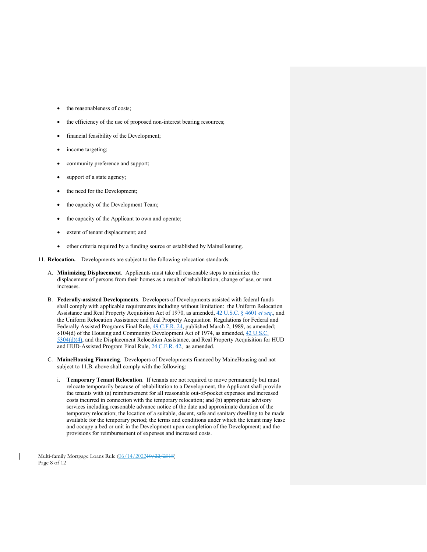- the reasonableness of costs;
- the efficiency of the use of proposed non-interest bearing resources;
- financial feasibility of the Development;
- income targeting;
- community preference and support;
- support of a state agency;
- the need for the Development;
- the capacity of the Development Team;
- the capacity of the Applicant to own and operate;
- extent of tenant displacement; and
- other criteria required by a funding source or established by MaineHousing.
- 11. **Relocation.** Developments are subject to the following relocation standards:
	- A. **Minimizing Displacement**. Applicants must take all reasonable steps to minimize the displacement of persons from their homes as a result of rehabilitation, change of use, or rent increases.
	- B. **Federally-assisted Developments**. Developers of Developments assisted with federal funds shall comply with applicable requirements including without limitation: the Uniform Relocation Assistance and Real Property Acquisition Act of 1970, as amended, [42 U.S.C. § 4601](https://www.law.cornell.edu/uscode/text/42/4601) *et seq*., and the Uniform Relocation Assistance and Real Property Acquisition Regulations for Federal and Federally Assisted Programs Final Rule,  $\frac{49 \text{ C.F.R. } 24}{49 \text{ C.F.R. } 24}$ , published March 2, 1989, as amended; §104(d) of the Housing and Community Development Act of 1974, as amended, [42 U.S.C.](https://www.law.cornell.edu/uscode/text/42/5304)  [5304\(d\)\(4\),](https://www.law.cornell.edu/uscode/text/42/5304) and the Displacement Relocation Assistance, and Real Property Acquisition for HUD and HUD-Assisted Program Final Rule, [24 C.F.R. 42,](https://www.law.cornell.edu/cfr/text/24/part-42) as amended.
	- C. **MaineHousing Financing**. Developers of Developments financed by MaineHousing and not subject to 11.B. above shall comply with the following:
		- i. **Temporary Tenant Relocation**. If tenants are not required to move permanently but must relocate temporarily because of rehabilitation to a Development, the Applicant shall provide the tenants with (a) reimbursement for all reasonable out-of-pocket expenses and increased costs incurred in connection with the temporary relocation; and (b) appropriate advisory services including reasonable advance notice of the date and approximate duration of the temporary relocation; the location of a suitable, decent, safe and sanitary dwelling to be made available for the temporary period; the terms and conditions under which the tenant may lease and occupy a bed or unit in the Development upon completion of the Development; and the provisions for reimbursement of expenses and increased costs.

Multi-family Mortgage Loans Rule (06/14/202210/22/2018) Page 8 of 12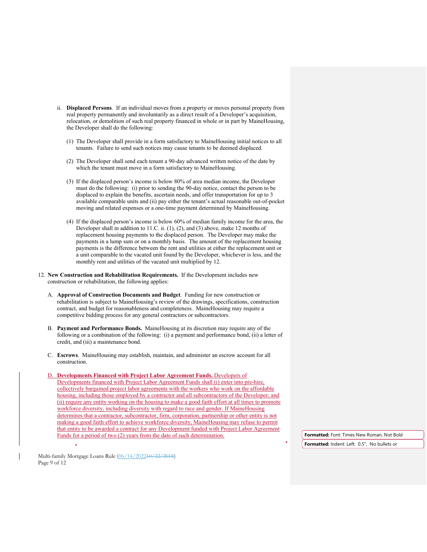- ii. **Displaced Persons**. If an individual moves from a property or moves personal property from real property permanently and involuntarily as a direct result of a Developer's acquisition, relocation, or demolition of such real property financed in whole or in part by MaineHousing, the Developer shall do the following:
	- (1) The Developer shall provide in a form satisfactory to MaineHousing initial notices to all tenants. Failure to send such notices may cause tenants to be deemed displaced.
	- (2) The Developer shall send each tenant a 90-day advanced written notice of the date by which the tenant must move in a form satisfactory to MaineHousing.
	- (3) If the displaced person's income is below 80% of area median income, the Developer must do the following: (i) prior to sending the 90-day notice, contact the person to be displaced to explain the benefits, ascertain needs, and offer transportation for up to 3 available comparable units and (ii) pay either the tenant's actual reasonable out-of-pocket moving and related expenses or a one-time payment determined by MaineHousing.
	- (4) If the displaced person's income is below 60% of median family income for the area, the Developer shall in addition to 11.C. ii. (1), (2), and (3) above, make 12 months of replacement housing payments to the displaced person. The Developer may make the payments in a lump sum or on a monthly basis. The amount of the replacement housing payments is the difference between the rent and utilities at either the replacement unit or a unit comparable to the vacated unit found by the Developer, whichever is less, and the monthly rent and utilities of the vacated unit multiplied by 12.
- 12. **New Construction and Rehabilitation Requirements.** If the Development includes new construction or rehabilitation, the following applies:
	- A. **Approval of Construction Documents and Budget**. Funding for new construction or rehabilitation is subject to MaineHousing's review of the drawings, specifications, construction contract, and budget for reasonableness and completeness. MaineHousing may require a competitive bidding process for any general contractors or subcontractors.
	- B. **Payment and Performance Bonds.** MaineHousing at its discretion may require any of the following or a combination of the following: (i) a payment and performance bond, (ii) a letter of credit, and (iii) a maintenance bond.
	- C. **Escrows**. MaineHousing may establish, maintain, and administer an escrow account for all construction.
	- D. **Developments Financed with Project Labor Agreement Funds.** Developers of Developments financed with Project Labor Agreement Funds shall (i) enter into pre-hire, collectively bargained project labor agreements with the workers who work on the affordable housing, including those employed by a contractor and all subcontractors of the Developer; and (ii) require any entity working on the housing to make a good faith effort at all times to promote workforce diversity, including diversity with regard to race and gender. If MaineHousing determines that a contractor, subcontractor, firm, corporation, partnership or other entity is not making a good faith effort to achieve workforce diversity, MaineHousing may refuse to permit that entity to be awarded a contract for any Development funded with Project Labor Agreement Funds for a period of two (2) years from the date of such determination. **Formatted:** Font: Times New Roman, Not Bold

**Formatted:** Indent: Left: 0.5", No bullets or

Multi-family Mortgage Loans Rule (06/14/202210/22/2018) Page 9 of 12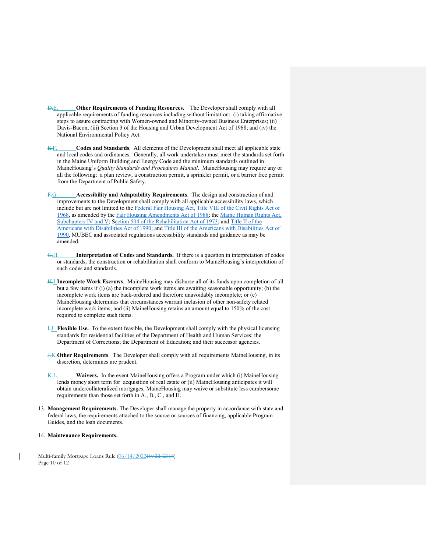- D.E. **Other Requirements of Funding Resources.** The Developer shall comply with all applicable requirements of funding resources including without limitation: (i) taking affirmative steps to assure contracting with Women-owned and Minority-owned Business Enterprises; (ii) Davis-Bacon; (iii) Section 3 of the Housing and Urban Development Act of 1968; and (iv) the National Environmental Policy Act.
- E.F. **Codes and Standards**. All elements of the Development shall meet all applicable state and local codes and ordinances. Generally, all work undertaken must meet the standards set forth in the Maine Uniform Building and Energy Code and the minimum standards outlined in MaineHousing's *Quality Standards and Procedures Manual*. MaineHousing may require any or all the following: a plan review, a construction permit, a sprinkler permit, or a barrier free permit from the Department of Public Safety.
- F.G. **Accessibility and Adaptability Requirements**. The design and construction of and improvements to the Development shall comply with all applicable accessibility laws, which include but are not limited to the [Federal Fair Housing Act, Title VIII of the Civil Rights Act of](https://www.law.cornell.edu/cfr/text/7/1901.203)  [1968,](https://www.law.cornell.edu/cfr/text/7/1901.203) as amended by the [Fair Housing Amendments Act of 1988;](https://www.govinfo.gov/content/pkg/USCODE-2009-title42/html/USCODE-2009-title42-chap45-subchapI.htm) the Maine Human Rights Act, Subchapters IV and V; [Section 504 of the Rehabilitation Act of 1973;](https://www.parentcenterhub.org/section504/) and Title II of the [Americans with Disabilities Act of 1990;](https://civilrights.findlaw.com/discrimination/title-ii-of-the-americans-with-disabilities-act.html) and Title [III of the Americans with Disabilities Act of](https://www.ada.gov/ada_title_III.htm)  [1990,](https://www.ada.gov/ada_title_III.htm) MUBEC and associated regulations accessibility standards and guidance as may be amended.
- G.H. **Interpretation of Codes and Standards.** If there is a question in interpretation of codes or standards, the construction or rehabilitation shall conform to MaineHousing's interpretation of such codes and standards.
- H.I.**Incomplete Work Escrows**. MaineHousing may disburse all of its funds upon completion of all but a few items if (i) (a) the incomplete work items are awaiting seasonable opportunity; (b) the incomplete work items are back-ordered and therefore unavoidably incomplete; or (c) MaineHousing determines that circumstances warrant inclusion of other non-safety related incomplete work items; and (ii) MaineHousing retains an amount equal to 150% of the cost required to complete such items.
- I.J. **Flexible Use.** To the extent feasible, the Development shall comply with the physical licensing standards for residential facilities of the Department of Health and Human Services; the Department of Corrections; the Department of Education; and their successor agencies.
- J.K.**Other Requirements**. The Developer shall comply with all requirements MaineHousing, in its discretion, determines are prudent.
- K.L. **Waivers.** In the event MaineHousing offers a Program under which (i) MaineHousing lends money short term for acquisition of real estate or (ii) MaineHousing anticipates it will obtain undercollateralized mortgages, MaineHousing may waive or substitute less cumbersome requirements than those set forth in A., B., C., and H.
- 13. **Management Requirements.** The Developer shall manage the property in accordance with state and federal laws, the requirements attached to the source or sources of financing, applicable Program Guides, and the loan documents.
- 14. **Maintenance Requirements.**

Multi-family Mortgage Loans Rule (06/14/202210/22/2018) Page 10 of 12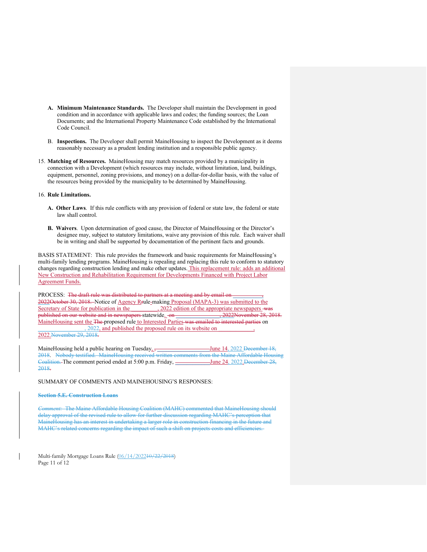- **A. Minimum Maintenance Standards.** The Developer shall maintain the Development in good condition and in accordance with applicable laws and codes; the funding sources; the Loan Documents; and the International Property Maintenance Code established by the International Code Council.
- B. **Inspections.** The Developer shall permit MaineHousing to inspect the Development as it deems reasonably necessary as a prudent lending institution and a responsible public agency.
- 15. **Matching of Resources.** MaineHousing may match resources provided by a municipality in connection with a Development (which resources may include, without limitation, land, buildings, equipment, personnel, zoning provisions, and money) on a dollar-for-dollar basis, with the value of the resources being provided by the municipality to be determined by MaineHousing.

#### 16. **Rule Limitations.**

- **A. Other Laws**. If this rule conflicts with any provision of federal or state law, the federal or state law shall control.
- **B. Waivers**. Upon determination of good cause, the Director of MaineHousing or the Director's designee may, subject to statutory limitations, waive any provision of this rule. Each waiver shall be in writing and shall be supported by documentation of the pertinent facts and grounds.

BASIS STATEMENT: This rule provides the framework and basic requirements for MaineHousing's multi-family lending programs. MaineHousing is repealing and replacing this rule to conform to statutory changes regarding construction lending and make other updates. This replacement rule: adds an additional New Construction and Rehabilitation Requirement for Developments Financed with Project Labor Agreement Funds.

PROCESS: The draft rule was distributed to partners at a meeting and by email on 2022October 30, 2018. Notice of Agency Rrule-making Proposal (MAPA-3) was submitted to the Secretary of State for publication in the 2022 edition of the appropriate newspapers was published on our website and in newspapers statewide. on \_\_\_\_\_\_\_\_\_\_\_\_\_\_\_\_, 2022November 28, 2018. MaineHousing sent the The proposed rule to Interested Parties was emailed to interested parties on \_\_\_\_\_\_\_\_\_\_\_\_\_\_\_\_, 2022, and published the proposed rule on its website on \_\_\_\_\_\_\_\_\_\_\_\_,

2022.November 29, 2018.

MaineHousing held a public hearing on Tuesday<sub>1</sub>, \_\_\_\_\_\_\_\_\_\_\_\_\_\_\_\_\_\_\_\_\_\_June 14, 2022 December 18, 2018. Nobody testified. MaineHousing received written comments from the Maine Affordable Housing Coalition. The comment period ended at 5:00 p.m. Friday, \_\_\_\_\_\_\_\_\_\_\_June 24, 2022. December 28, 2018.

SUMMARY OF COMMENTS AND MAINEHOUSING'S RESPONSES:

### **Section 5.E. Construction Loans**

*Comment:* The Maine Affordable Housing Coalition (MAHC) commented that MaineHousing should delay approval of the revised rule to allow for further discussion regarding MAHC's perception that MaineHousing has an interest in undertaking a larger role in construction financing in the future and MAHC's related concerns regarding the impact of such a shift on projects costs and efficiencies.

Multi-family Mortgage Loans Rule (06/14/202210/22/2018) Page 11 of 12